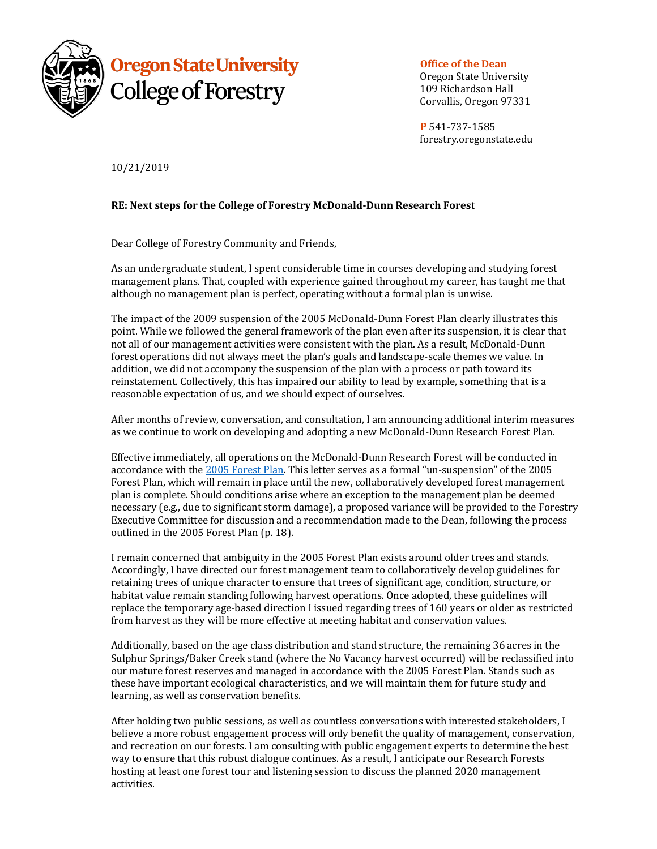

**Office of the Dean** 

Oregon State University 109 Richardson Hall Corvallis, Oregon 97331

**P** 541-737-1585 forestry.oregonstate.edu

10/21/2019 

## **RE: Next steps for the College of Forestry McDonald-Dunn Research Forest**

Dear College of Forestry Community and Friends,

As an undergraduate student, I spent considerable time in courses developing and studying forest management plans. That, coupled with experience gained throughout my career, has taught me that although no management plan is perfect, operating without a formal plan is unwise.

The impact of the 2009 suspension of the 2005 McDonald-Dunn Forest Plan clearly illustrates this point. While we followed the general framework of the plan even after its suspension, it is clear that not all of our management activities were consistent with the plan. As a result, McDonald-Dunn forest operations did not always meet the plan's goals and landscape-scale themes we value. In addition, we did not accompany the suspension of the plan with a process or path toward its reinstatement. Collectively, this has impaired our ability to lead by example, something that is a reasonable expectation of us, and we should expect of ourselves.

After months of review, conversation, and consultation, I am announcing additional interim measures as we continue to work on developing and adopting a new McDonald-Dunn Research Forest Plan.

Effective immediately, all operations on the McDonald-Dunn Research Forest will be conducted in accordance with the 2005 Forest Plan. This letter serves as a formal "un-suspension" of the 2005 Forest Plan, which will remain in place until the new, collaboratively developed forest management plan is complete. Should conditions arise where an exception to the management plan be deemed necessary (e.g., due to significant storm damage), a proposed variance will be provided to the Forestry Executive Committee for discussion and a recommendation made to the Dean, following the process outlined in the 2005 Forest Plan (p. 18).

I remain concerned that ambiguity in the 2005 Forest Plan exists around older trees and stands. Accordingly, I have directed our forest management team to collaboratively develop guidelines for retaining trees of unique character to ensure that trees of significant age, condition, structure, or habitat value remain standing following harvest operations. Once adopted, these guidelines will replace the temporary age-based direction I issued regarding trees of 160 years or older as restricted from harvest as they will be more effective at meeting habitat and conservation values.

Additionally, based on the age class distribution and stand structure, the remaining 36 acres in the Sulphur Springs/Baker Creek stand (where the No Vacancy harvest occurred) will be reclassified into our mature forest reserves and managed in accordance with the 2005 Forest Plan. Stands such as these have important ecological characteristics, and we will maintain them for future study and learning, as well as conservation benefits.

After holding two public sessions, as well as countless conversations with interested stakeholders, I believe a more robust engagement process will only benefit the quality of management, conservation, and recreation on our forests. I am consulting with public engagement experts to determine the best way to ensure that this robust dialogue continues. As a result, I anticipate our Research Forests hosting at least one forest tour and listening session to discuss the planned 2020 management activities.